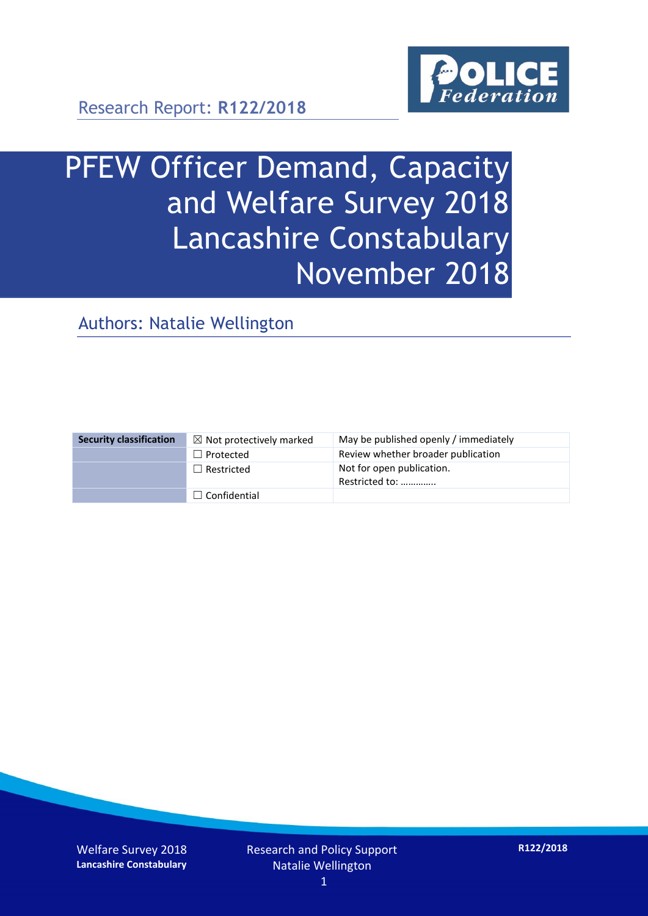

Research Report: **R122/2018**

# PFEW Officer Demand, Capacity and Welfare Survey 2018 Lancashire Constabulary November 2018

Authors: Natalie Wellington

| <b>Security classification</b> | $\boxtimes$ Not protectively marked | May be published openly / immediately       |
|--------------------------------|-------------------------------------|---------------------------------------------|
|                                | $\Box$ Protected                    | Review whether broader publication          |
|                                | $\Box$ Restricted                   | Not for open publication.<br>Restricted to: |
|                                | $\Box$ Confidential                 |                                             |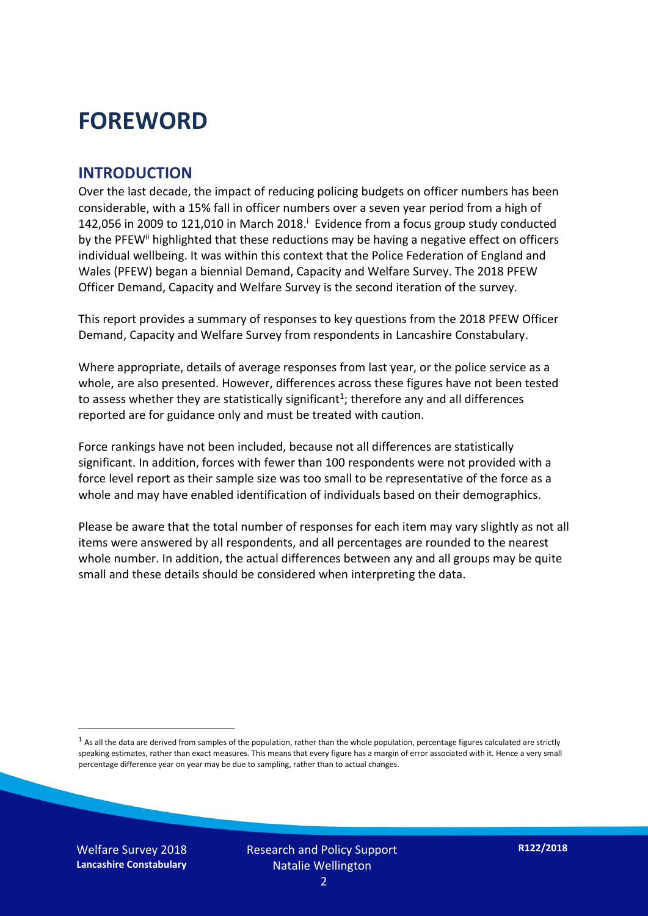## **FOREWORD**

#### **INTRODUCTION**

Over the last decade, the impact of reducing policing budgets on officer numbers has been considerable, with a 15% fall in officer numbers over a seven year period from a high of 142,056 in 2009 to 121,010 in March 2018. $^{\mathrm{i}}$  Evidence from a focus group study conducted by the PFEW<sup>ii</sup> highlighted that these reductions may be having a negative effect on officers individual wellbeing. It was within this context that the Police Federation of England and Wales (PFEW) began a biennial Demand, Capacity and Welfare Survey. The 2018 PFEW Officer Demand, Capacity and Welfare Survey is the second iteration of the survey.

This report provides a summary of responses to key questions from the 2018 PFEW Officer Demand, Capacity and Welfare Survey from respondents in Lancashire Constabulary.

Where appropriate, details of average responses from last year, or the police service as a whole, are also presented. However, differences across these figures have not been tested to assess whether they are statistically significant<sup>1</sup>; therefore any and all differences reported are for guidance only and must be treated with caution.

Force rankings have not been included, because not all differences are statistically significant. In addition, forces with fewer than 100 respondents were not provided with a force level report as their sample size was too small to be representative of the force as a whole and may have enabled identification of individuals based on their demographics.

Please be aware that the total number of responses for each item may vary slightly as not all items were answered by all respondents, and all percentages are rounded to the nearest whole number. In addition, the actual differences between any and all groups may be quite small and these details should be considered when interpreting the data.

 $<sup>1</sup>$  As all the data are derived from samples of the population, rather than the whole population, percentage figures calculated are strictly</sup> speaking estimates, rather than exact measures. This means that every figure has a margin of error associated with it. Hence a very small percentage difference year on year may be due to sampling, rather than to actual changes.

Welfare Survey 2018 **Lancashire Constabulary**

-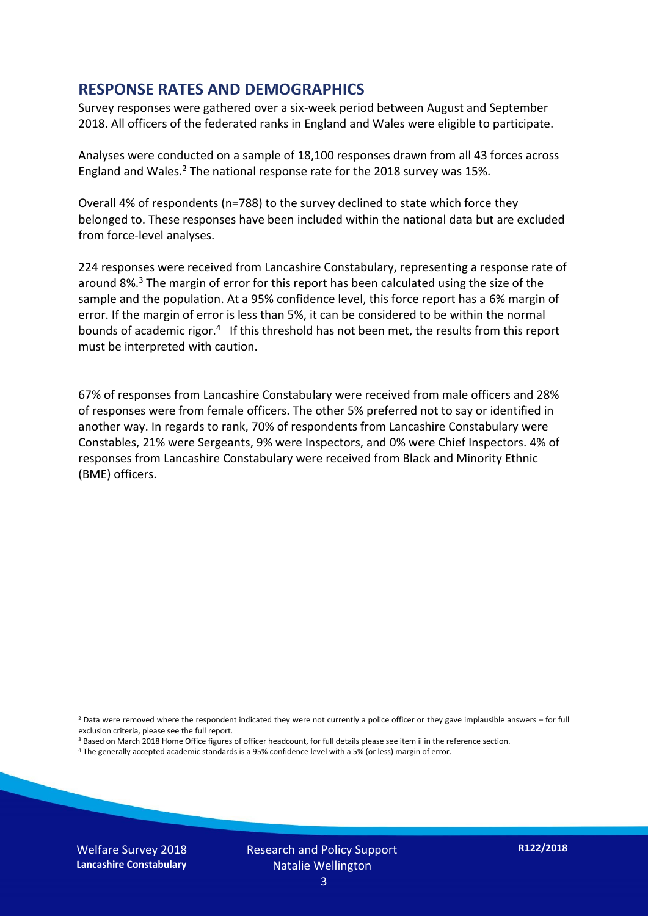#### **RESPONSE RATES AND DEMOGRAPHICS**

Survey responses were gathered over a six-week period between August and September 2018. All officers of the federated ranks in England and Wales were eligible to participate.

Analyses were conducted on a sample of 18,100 responses drawn from all 43 forces across England and Wales.<sup>2</sup> The national response rate for the 2018 survey was 15%.

Overall 4% of respondents (n=788) to the survey declined to state which force they belonged to. These responses have been included within the national data but are excluded from force-level analyses.

224 responses were received from Lancashire Constabulary, representing a response rate of around 8%. <sup>3</sup> The margin of error for this report has been calculated using the size of the sample and the population. At a 95% confidence level, this force report has a 6% margin of error. If the margin of error is less than 5%, it can be considered to be within the normal bounds of academic rigor.<sup>4</sup> If this threshold has not been met, the results from this report must be interpreted with caution.

67% of responses from Lancashire Constabulary were received from male officers and 28% of responses were from female officers. The other 5% preferred not to say or identified in another way. In regards to rank, 70% of respondents from Lancashire Constabulary were Constables, 21% were Sergeants, 9% were Inspectors, and 0% were Chief Inspectors. 4% of responses from Lancashire Constabulary were received from Black and Minority Ethnic (BME) officers.

-

 $2$  Data were removed where the respondent indicated they were not currently a police officer or they gave implausible answers – for full exclusion criteria, please see the full report.

<sup>3</sup> Based on March 2018 Home Office figures of officer headcount, for full details please see item ii in the reference section.

<sup>4</sup> The generally accepted academic standards is a 95% confidence level with a 5% (or less) margin of error.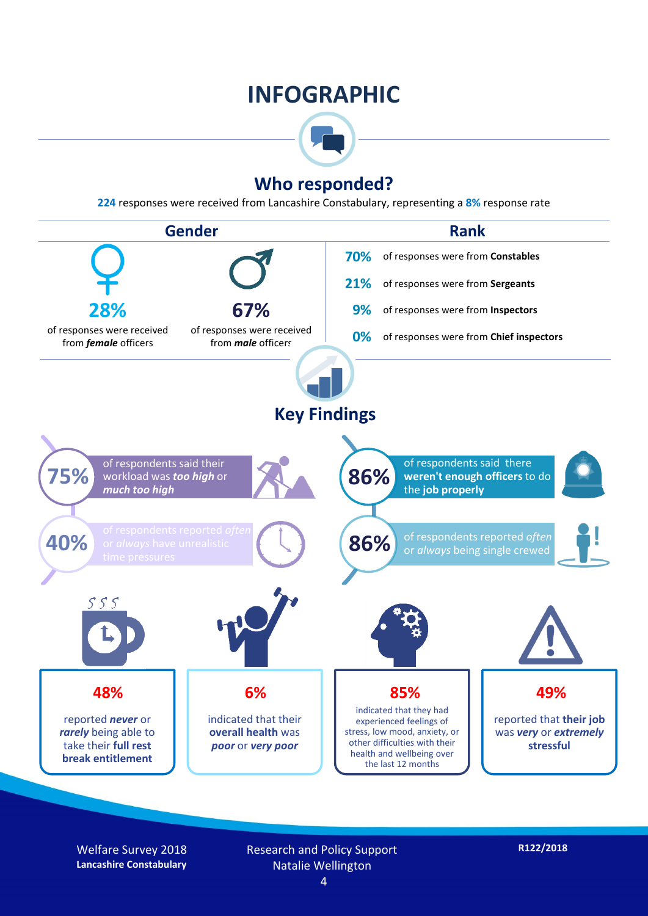## **INFOGRAPHIC**



### **Who responded?**

**224** responses were received from Lancashire Constabulary, representing a **8%** response rate



Welfare Survey 2018 **Lancashire Constabulary**

Research and Policy Support Natalie Wellington 4

**R122/2018**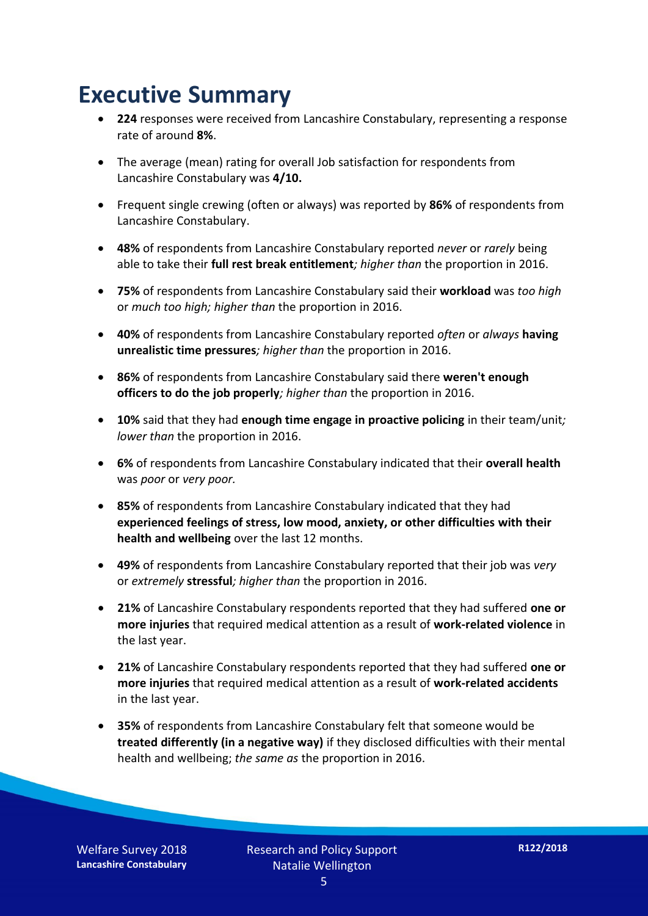## **Executive Summary**

- **224** responses were received from Lancashire Constabulary, representing a response rate of around **8%**.
- The average (mean) rating for overall Job satisfaction for respondents from Lancashire Constabulary was **4/10.**
- Frequent single crewing (often or always) was reported by **86%** of respondents from Lancashire Constabulary.
- **48%** of respondents from Lancashire Constabulary reported *never* or *rarely* being able to take their **full rest break entitlement***; higher than* the proportion in 2016.
- **75%** of respondents from Lancashire Constabulary said their **workload** was *too high* or *much too high; higher than* the proportion in 2016.
- **40%** of respondents from Lancashire Constabulary reported *often* or *always* **having unrealistic time pressures***; higher than* the proportion in 2016.
- **86%** of respondents from Lancashire Constabulary said there **weren't enough officers to do the job properly***; higher than* the proportion in 2016.
- **10%** said that they had **enough time engage in proactive policing** in their team/unit*; lower than* the proportion in 2016.
- **6%** of respondents from Lancashire Constabulary indicated that their **overall health** was *poor* or *very poor.*
- **85%** of respondents from Lancashire Constabulary indicated that they had **experienced feelings of stress, low mood, anxiety, or other difficulties with their health and wellbeing** over the last 12 months.
- **49%** of respondents from Lancashire Constabulary reported that their job was *very*  or *extremely* **stressful***; higher than* the proportion in 2016.
- **21%** of Lancashire Constabulary respondents reported that they had suffered **one or more injuries** that required medical attention as a result of **work-related violence** in the last year.
- **21%** of Lancashire Constabulary respondents reported that they had suffered **one or more injuries** that required medical attention as a result of **work-related accidents**  in the last year.
- **35%** of respondents from Lancashire Constabulary felt that someone would be **treated differently (in a negative way)** if they disclosed difficulties with their mental health and wellbeing; *the same as* the proportion in 2016.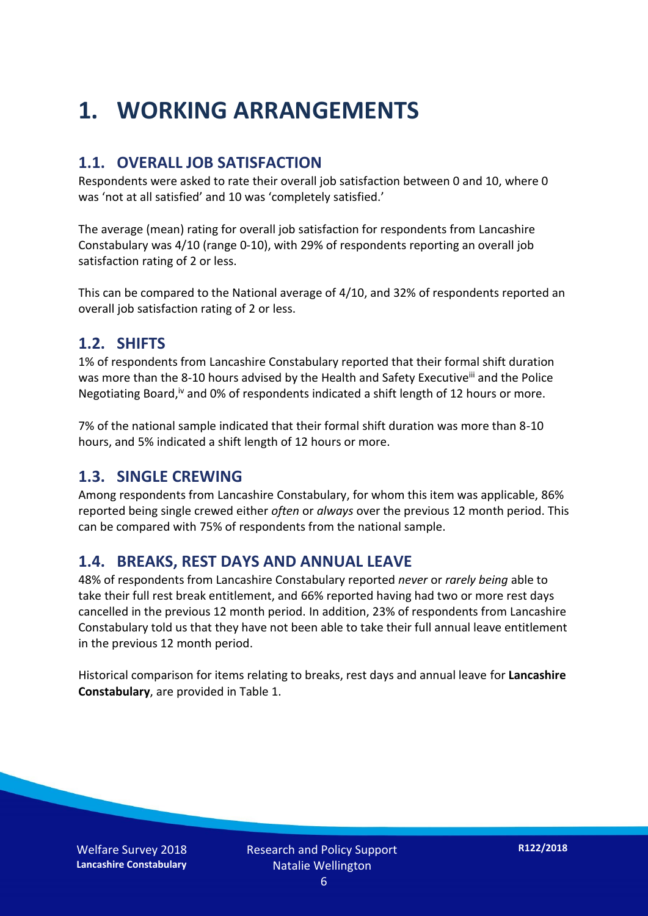## **1. WORKING ARRANGEMENTS**

#### **1.1. OVERALL JOB SATISFACTION**

Respondents were asked to rate their overall job satisfaction between 0 and 10, where 0 was 'not at all satisfied' and 10 was 'completely satisfied.'

The average (mean) rating for overall job satisfaction for respondents from Lancashire Constabulary was 4/10 (range 0-10), with 29% of respondents reporting an overall job satisfaction rating of 2 or less.

This can be compared to the National average of 4/10, and 32% of respondents reported an overall job satisfaction rating of 2 or less.

#### **1.2. SHIFTS**

1% of respondents from Lancashire Constabulary reported that their formal shift duration was more than the 8-10 hours advised by the Health and Safety Executive<sup>iii</sup> and the Police Negotiating Board,<sup>iv</sup> and 0% of respondents indicated a shift length of 12 hours or more.

7% of the national sample indicated that their formal shift duration was more than 8-10 hours, and 5% indicated a shift length of 12 hours or more.

#### **1.3. SINGLE CREWING**

Among respondents from Lancashire Constabulary, for whom this item was applicable, 86% reported being single crewed either *often* or *always* over the previous 12 month period. This can be compared with 75% of respondents from the national sample.

#### **1.4. BREAKS, REST DAYS AND ANNUAL LEAVE**

48% of respondents from Lancashire Constabulary reported *never* or *rarely being* able to take their full rest break entitlement, and 66% reported having had two or more rest days cancelled in the previous 12 month period. In addition, 23% of respondents from Lancashire Constabulary told us that they have not been able to take their full annual leave entitlement in the previous 12 month period.

Historical comparison for items relating to breaks, rest days and annual leave for **Lancashire Constabulary**, are provided in Table 1.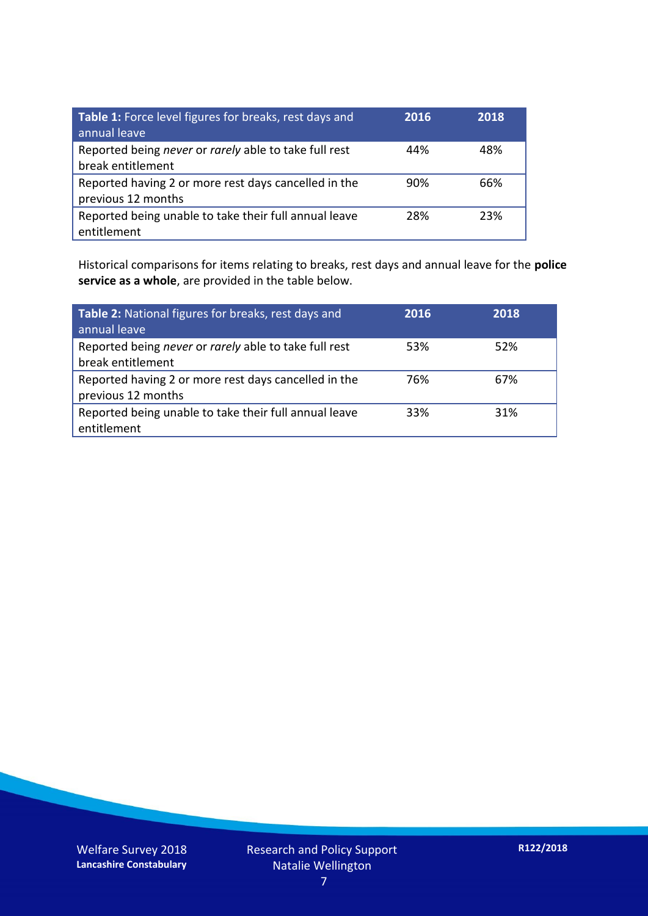| Table 1: Force level figures for breaks, rest days and<br>annual leave     | 2016 | 2018 |
|----------------------------------------------------------------------------|------|------|
| Reported being never or rarely able to take full rest<br>break entitlement | 44%  | 48%  |
| Reported having 2 or more rest days cancelled in the<br>previous 12 months | 90%  | 66%  |
| Reported being unable to take their full annual leave<br>entitlement       | 28%  | 23%  |

Historical comparisons for items relating to breaks, rest days and annual leave for the **police service as a whole**, are provided in the table below.

| Table 2: National figures for breaks, rest days and<br>annual leave        | 2016 | 2018 |
|----------------------------------------------------------------------------|------|------|
| Reported being never or rarely able to take full rest<br>break entitlement | 53%  | 52%  |
| Reported having 2 or more rest days cancelled in the<br>previous 12 months | 76%  | 67%  |
| Reported being unable to take their full annual leave<br>entitlement       | 33%  | 31%  |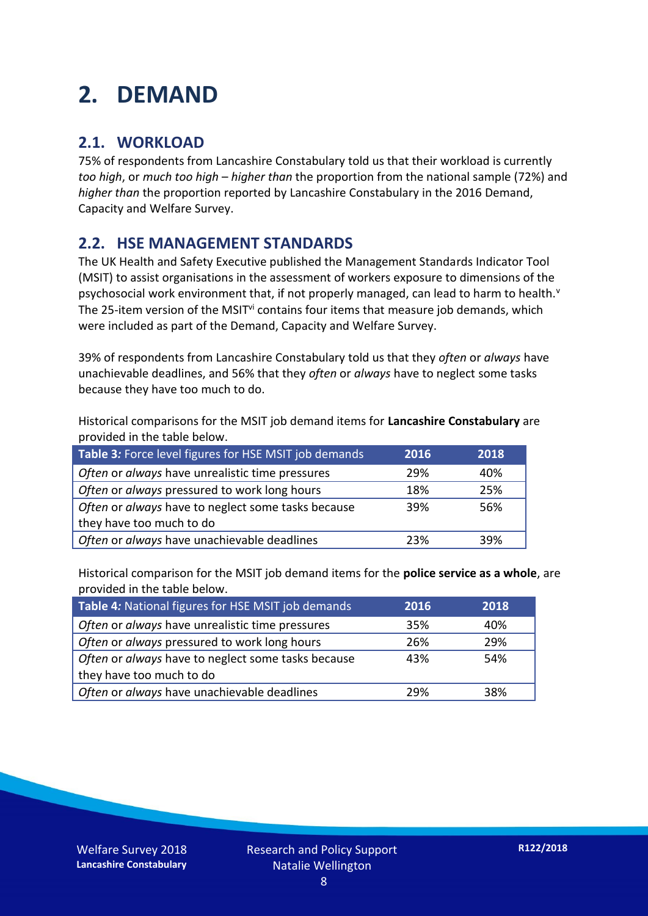## **2. DEMAND**

### **2.1. WORKLOAD**

75% of respondents from Lancashire Constabulary told us that their workload is currently *too high*, or *much too high* – *higher than* the proportion from the national sample (72%) and *higher than* the proportion reported by Lancashire Constabulary in the 2016 Demand, Capacity and Welfare Survey.

### **2.2. HSE MANAGEMENT STANDARDS**

The UK Health and Safety Executive published the Management Standards Indicator Tool (MSIT) to assist organisations in the assessment of workers exposure to dimensions of the psychosocial work environment that, if not properly managed, can lead to harm to health.<sup>v</sup> The 25-item version of the MSIT<sup>vi</sup> contains four items that measure job demands, which were included as part of the Demand, Capacity and Welfare Survey.

39% of respondents from Lancashire Constabulary told us that they *often* or *always* have unachievable deadlines, and 56% that they *often* or *always* have to neglect some tasks because they have too much to do.

Historical comparisons for the MSIT job demand items for **Lancashire Constabulary** are provided in the table below.

| Table 3: Force level figures for HSE MSIT job demands | 2016 | 2018 |
|-------------------------------------------------------|------|------|
| Often or always have unrealistic time pressures       | 29%  | 40%  |
| Often or always pressured to work long hours          | 18%  | 25%  |
| Often or always have to neglect some tasks because    | 39%  | 56%  |
| they have too much to do                              |      |      |
| Often or always have unachievable deadlines           | 23%  | 39%  |

Historical comparison for the MSIT job demand items for the **police service as a whole**, are provided in the table below.

| Table 4: National figures for HSE MSIT job demands | 2016 | 2018 |
|----------------------------------------------------|------|------|
| Often or always have unrealistic time pressures    | 35%  | 40%  |
| Often or always pressured to work long hours       | 26%  | 29%  |
| Often or always have to neglect some tasks because | 43%  | 54%  |
| they have too much to do                           |      |      |
| Often or always have unachievable deadlines        | 29%  | 38%  |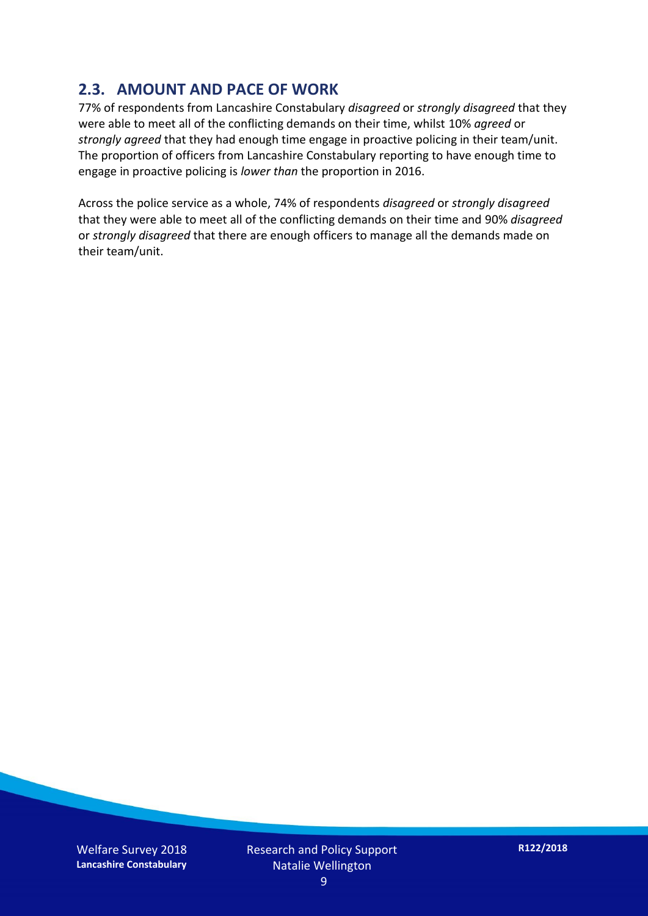### **2.3. AMOUNT AND PACE OF WORK**

77% of respondents from Lancashire Constabulary *disagreed* or *strongly disagreed* that they were able to meet all of the conflicting demands on their time, whilst 10% *agreed* or *strongly agreed* that they had enough time engage in proactive policing in their team/unit. The proportion of officers from Lancashire Constabulary reporting to have enough time to engage in proactive policing is *lower than* the proportion in 2016.

Across the police service as a whole, 74% of respondents *disagreed* or *strongly disagreed* that they were able to meet all of the conflicting demands on their time and 90% *disagreed* or *strongly disagreed* that there are enough officers to manage all the demands made on their team/unit.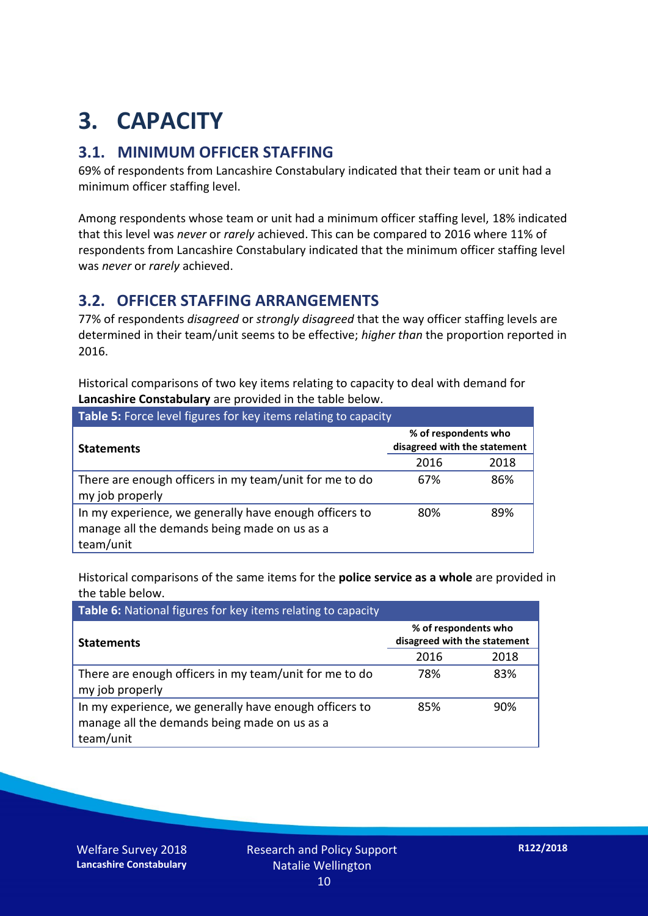## **3. CAPACITY**

### **3.1. MINIMUM OFFICER STAFFING**

69% of respondents from Lancashire Constabulary indicated that their team or unit had a minimum officer staffing level.

Among respondents whose team or unit had a minimum officer staffing level, 18% indicated that this level was *never* or *rarely* achieved. This can be compared to 2016 where 11% of respondents from Lancashire Constabulary indicated that the minimum officer staffing level was *never* or *rarely* achieved.

#### **3.2. OFFICER STAFFING ARRANGEMENTS**

77% of respondents *disagreed* or *strongly disagreed* that the way officer staffing levels are determined in their team/unit seems to be effective; *higher than* the proportion reported in 2016.

Historical comparisons of two key items relating to capacity to deal with demand for **Lancashire Constabulary** are provided in the table below.

| Table 5: Force level figures for key items relating to capacity                                                     |                                                      |      |  |
|---------------------------------------------------------------------------------------------------------------------|------------------------------------------------------|------|--|
| <b>Statements</b>                                                                                                   | % of respondents who<br>disagreed with the statement |      |  |
|                                                                                                                     | 2016                                                 | 2018 |  |
| There are enough officers in my team/unit for me to do<br>my job properly                                           | 67%                                                  | 86%  |  |
| In my experience, we generally have enough officers to<br>manage all the demands being made on us as a<br>team/unit | 80%                                                  | 89%  |  |

Historical comparisons of the same items for the **police service as a whole** are provided in the table below.

| Table 6: National figures for key items relating to capacity                                                        |                                                      |      |  |  |
|---------------------------------------------------------------------------------------------------------------------|------------------------------------------------------|------|--|--|
| <b>Statements</b>                                                                                                   | % of respondents who<br>disagreed with the statement |      |  |  |
|                                                                                                                     | 2016                                                 | 2018 |  |  |
| There are enough officers in my team/unit for me to do<br>my job properly                                           | 78%                                                  | 83%  |  |  |
| In my experience, we generally have enough officers to<br>manage all the demands being made on us as a<br>team/unit | 85%                                                  | 90%  |  |  |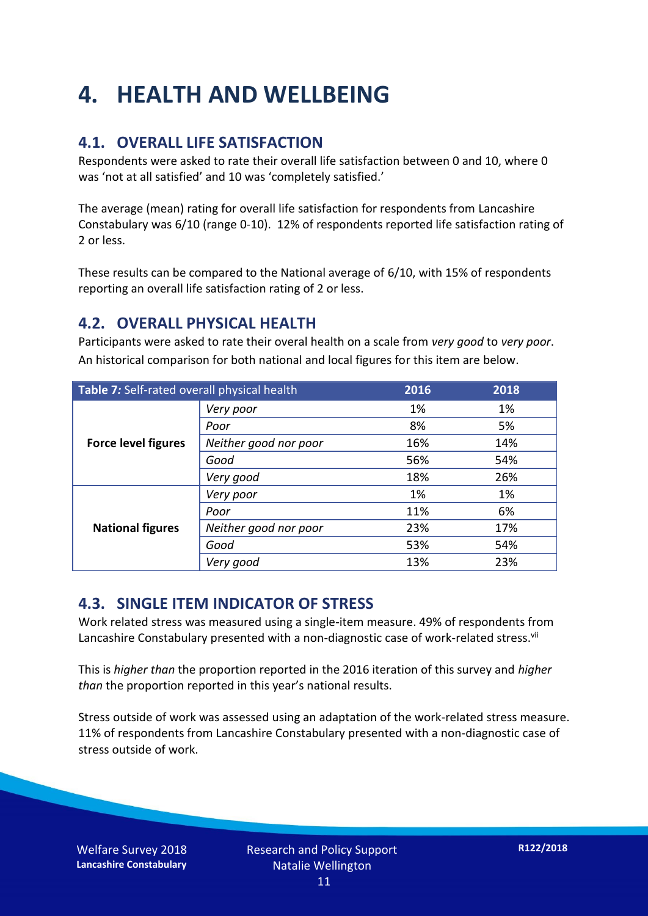## **4. HEALTH AND WELLBEING**

### **4.1. OVERALL LIFE SATISFACTION**

Respondents were asked to rate their overall life satisfaction between 0 and 10, where 0 was 'not at all satisfied' and 10 was 'completely satisfied.'

The average (mean) rating for overall life satisfaction for respondents from Lancashire Constabulary was 6/10 (range 0-10). 12% of respondents reported life satisfaction rating of 2 or less.

These results can be compared to the National average of 6/10, with 15% of respondents reporting an overall life satisfaction rating of 2 or less.

### **4.2. OVERALL PHYSICAL HEALTH**

Participants were asked to rate their overal health on a scale from *very good* to *very poor*. An historical comparison for both national and local figures for this item are below.

| Table 7: Self-rated overall physical health |                       | 2016 | 2018 |
|---------------------------------------------|-----------------------|------|------|
|                                             | Very poor             | 1%   | 1%   |
|                                             | Poor                  | 8%   | 5%   |
| <b>Force level figures</b>                  | Neither good nor poor | 16%  | 14%  |
|                                             | Good                  | 56%  | 54%  |
|                                             | Very good             | 18%  | 26%  |
| <b>National figures</b>                     | Very poor             | 1%   | 1%   |
|                                             | Poor                  | 11%  | 6%   |
|                                             | Neither good nor poor | 23%  | 17%  |
|                                             | Good                  | 53%  | 54%  |
|                                             | Very good             | 13%  | 23%  |

### **4.3. SINGLE ITEM INDICATOR OF STRESS**

Work related stress was measured using a single-item measure. 49% of respondents from Lancashire Constabulary presented with a non-diagnostic case of work-related stress.<sup>vii</sup>

This is *higher than* the proportion reported in the 2016 iteration of this survey and *higher than* the proportion reported in this year's national results.

Stress outside of work was assessed using an adaptation of the work-related stress measure. 11% of respondents from Lancashire Constabulary presented with a non-diagnostic case of stress outside of work.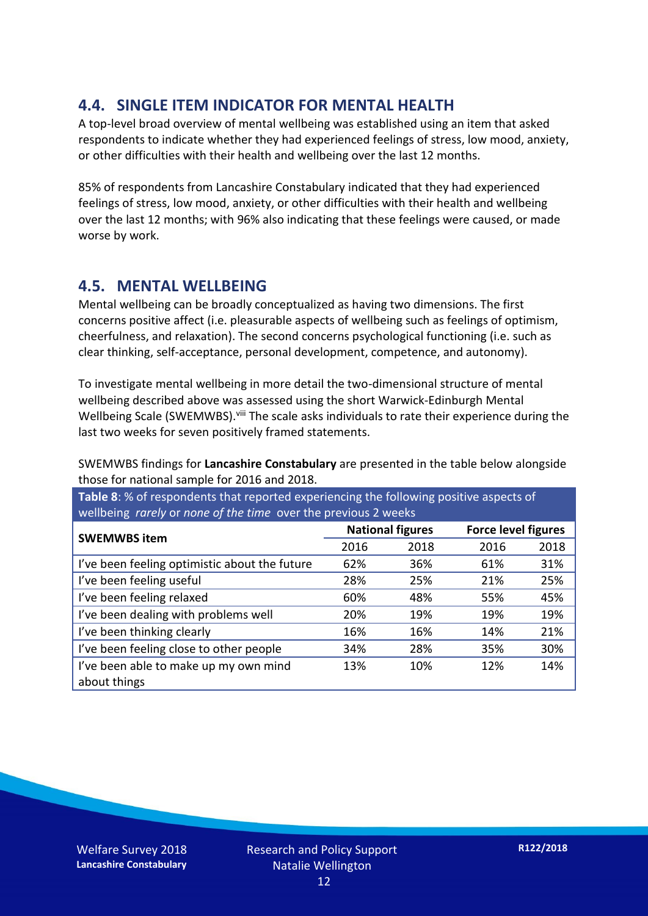### **4.4. SINGLE ITEM INDICATOR FOR MENTAL HEALTH**

A top-level broad overview of mental wellbeing was established using an item that asked respondents to indicate whether they had experienced feelings of stress, low mood, anxiety, or other difficulties with their health and wellbeing over the last 12 months.

85% of respondents from Lancashire Constabulary indicated that they had experienced feelings of stress, low mood, anxiety, or other difficulties with their health and wellbeing over the last 12 months; with 96% also indicating that these feelings were caused, or made worse by work.

### **4.5. MENTAL WELLBEING**

Mental wellbeing can be broadly conceptualized as having two dimensions. The first concerns positive affect (i.e. pleasurable aspects of wellbeing such as feelings of optimism, cheerfulness, and relaxation). The second concerns psychological functioning (i.e. such as clear thinking, self-acceptance, personal development, competence, and autonomy).

To investigate mental wellbeing in more detail the two-dimensional structure of mental wellbeing described above was assessed using the short Warwick-Edinburgh Mental Wellbeing Scale (SWEMWBS). viii The scale asks individuals to rate their experience during the last two weeks for seven positively framed statements.

SWEMWBS findings for **Lancashire Constabulary** are presented in the table below alongside those for national sample for 2016 and 2018.

**Table 8**: % of respondents that reported experiencing the following positive aspects of wellbeing *rarely* or *none of the time* over the previous 2 weeks

| <b>SWEMWBS item</b>                           | <b>National figures</b> |      | <b>Force level figures</b> |      |
|-----------------------------------------------|-------------------------|------|----------------------------|------|
|                                               | 2016                    | 2018 | 2016                       | 2018 |
| I've been feeling optimistic about the future | 62%                     | 36%  | 61%                        | 31%  |
| I've been feeling useful                      | 28%                     | 25%  | 21%                        | 25%  |
| I've been feeling relaxed                     | 60%                     | 48%  | 55%                        | 45%  |
| I've been dealing with problems well          | 20%                     | 19%  | 19%                        | 19%  |
| I've been thinking clearly                    | 16%                     | 16%  | 14%                        | 21%  |
| I've been feeling close to other people       | 34%                     | 28%  | 35%                        | 30%  |
| I've been able to make up my own mind         | 13%                     | 10%  | 12%                        | 14%  |
| about things                                  |                         |      |                            |      |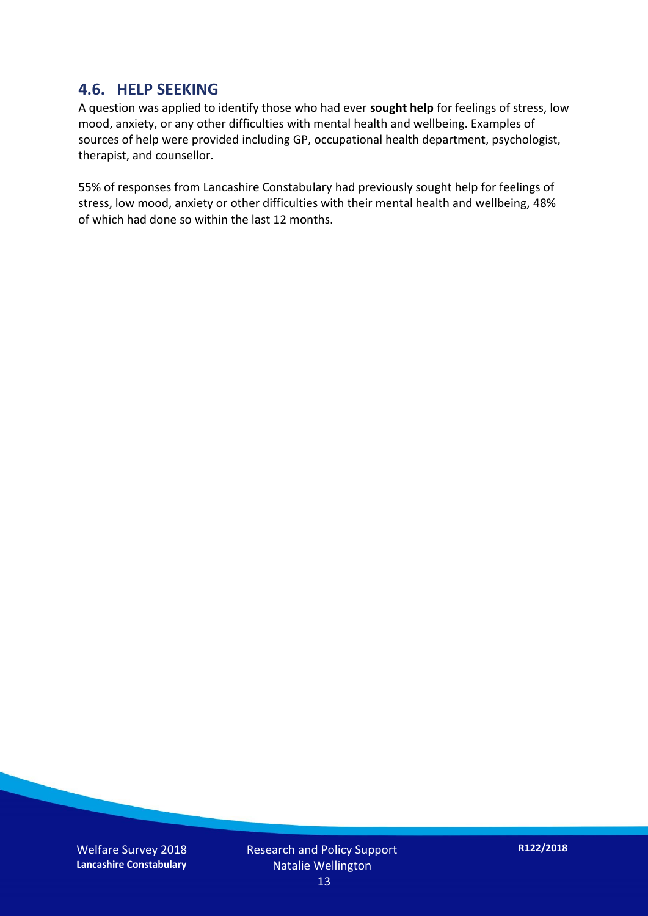#### **4.6. HELP SEEKING**

A question was applied to identify those who had ever **sought help** for feelings of stress, low mood, anxiety, or any other difficulties with mental health and wellbeing. Examples of sources of help were provided including GP, occupational health department, psychologist, therapist, and counsellor.

55% of responses from Lancashire Constabulary had previously sought help for feelings of stress, low mood, anxiety or other difficulties with their mental health and wellbeing, 48% of which had done so within the last 12 months.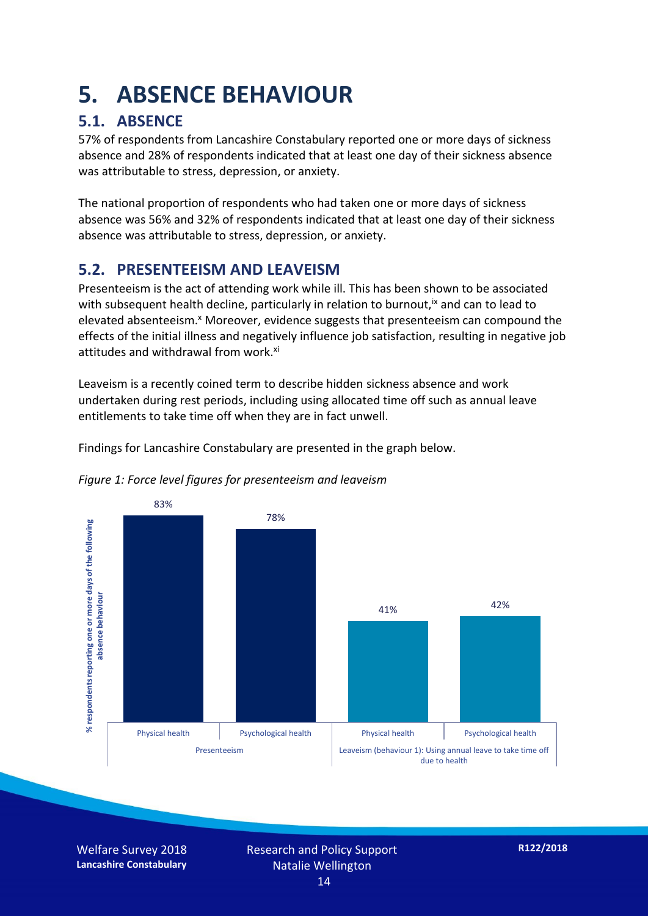## **5. ABSENCE BEHAVIOUR**

## **5.1. ABSENCE**

57% of respondents from Lancashire Constabulary reported one or more days of sickness absence and 28% of respondents indicated that at least one day of their sickness absence was attributable to stress, depression, or anxiety.

The national proportion of respondents who had taken one or more days of sickness absence was 56% and 32% of respondents indicated that at least one day of their sickness absence was attributable to stress, depression, or anxiety.

### **5.2. PRESENTEEISM AND LEAVEISM**

Presenteeism is the act of attending work while ill. This has been shown to be associated with subsequent health decline, particularly in relation to burnout,  $\alpha$  and can to lead to elevated absenteeism.<sup>x</sup> Moreover, evidence suggests that presenteeism can compound the effects of the initial illness and negatively influence job satisfaction, resulting in negative job attitudes and withdrawal from work.<sup>xi</sup>

Leaveism is a recently coined term to describe hidden sickness absence and work undertaken during rest periods, including using allocated time off such as annual leave entitlements to take time off when they are in fact unwell.

Findings for Lancashire Constabulary are presented in the graph below.



*Figure 1: Force level figures for presenteeism and leaveism*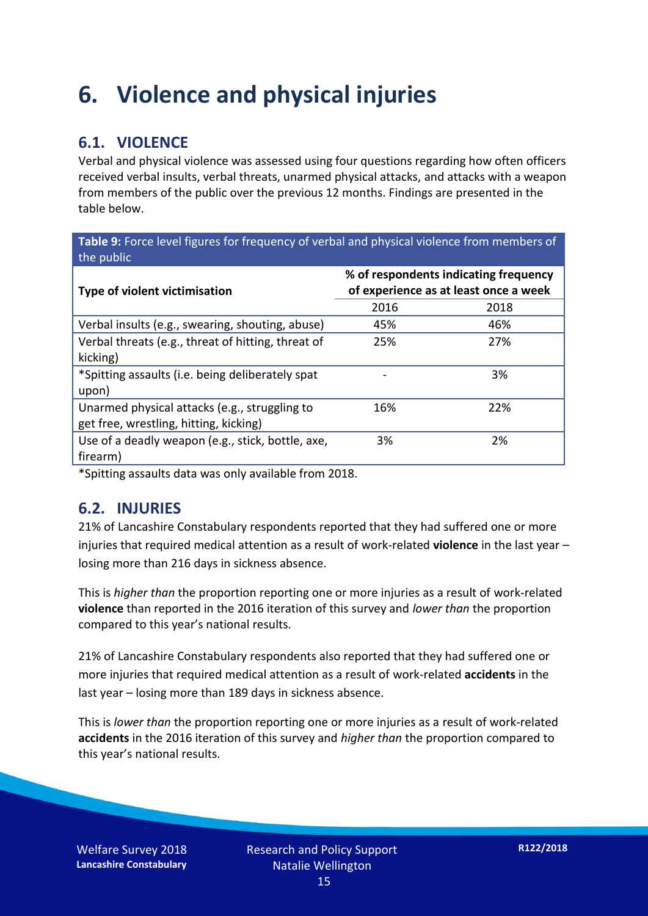## **6. Violence and physical injuries**

### **6.1. VIOLENCE**

Verbal and physical violence was assessed using four questions regarding how often officers received verbal insults, verbal threats, unarmed physical attacks, and attacks with a weapon from members of the public over the previous 12 months. Findings are presented in the table below.

**Table 9:** Force level figures for frequency of verbal and physical violence from members of the public

| Type of violent victimisation                      | % of respondents indicating frequency<br>of experience as at least once a week |      |  |
|----------------------------------------------------|--------------------------------------------------------------------------------|------|--|
|                                                    | 2016                                                                           | 2018 |  |
| Verbal insults (e.g., swearing, shouting, abuse)   | 45%                                                                            | 46%  |  |
| Verbal threats (e.g., threat of hitting, threat of | 25%                                                                            | 27%  |  |
| kicking)                                           |                                                                                |      |  |
| *Spitting assaults (i.e. being deliberately spat   |                                                                                | 3%   |  |
| upon)                                              |                                                                                |      |  |
| Unarmed physical attacks (e.g., struggling to      | 16%                                                                            | 22%  |  |
| get free, wrestling, hitting, kicking)             |                                                                                |      |  |
| Use of a deadly weapon (e.g., stick, bottle, axe,  | 3%                                                                             | 2%   |  |
| firearm)                                           |                                                                                |      |  |

\*Spitting assaults data was only available from 2018.

#### **6.2. INJURIES**

21% of Lancashire Constabulary respondents reported that they had suffered one or more injuries that required medical attention as a result of work-related **violence** in the last year – losing more than 216 days in sickness absence.

This is *higher than* the proportion reporting one or more injuries as a result of work-related **violence** than reported in the 2016 iteration of this survey and *lower than* the proportion compared to this year's national results.

21% of Lancashire Constabulary respondents also reported that they had suffered one or more injuries that required medical attention as a result of work-related **accidents** in the last year – losing more than 189 days in sickness absence.

This is *lower than* the proportion reporting one or more injuries as a result of work-related **accidents** in the 2016 iteration of this survey and *higher than* the proportion compared to this year's national results.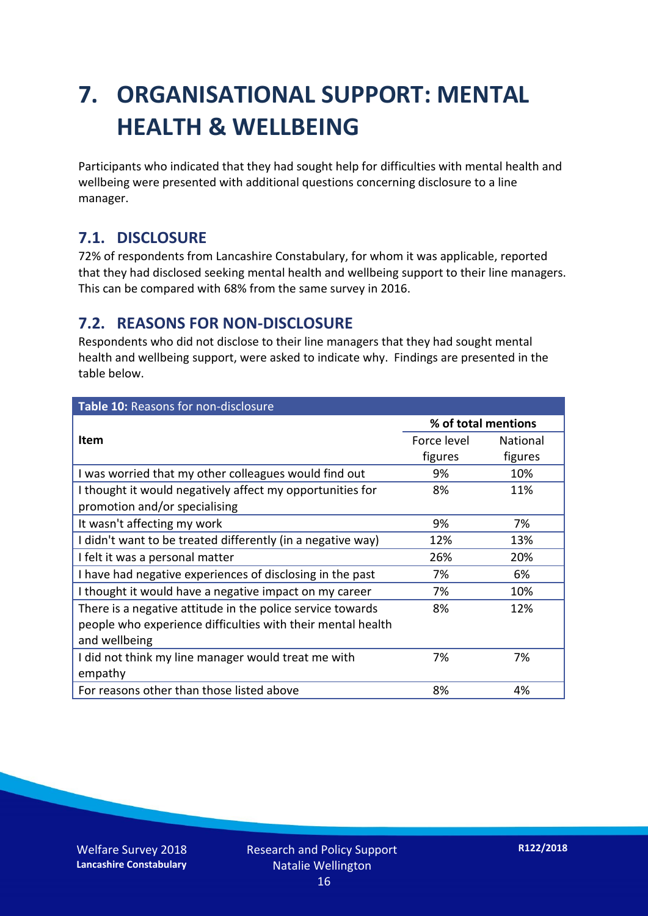## **7. ORGANISATIONAL SUPPORT: MENTAL HEALTH & WELLBEING**

Participants who indicated that they had sought help for difficulties with mental health and wellbeing were presented with additional questions concerning disclosure to a line manager.

### **7.1. DISCLOSURE**

72% of respondents from Lancashire Constabulary, for whom it was applicable, reported that they had disclosed seeking mental health and wellbeing support to their line managers. This can be compared with 68% from the same survey in 2016.

### **7.2. REASONS FOR NON-DISCLOSURE**

Respondents who did not disclose to their line managers that they had sought mental health and wellbeing support, were asked to indicate why. Findings are presented in the table below.

| Table 10: Reasons for non-disclosure                        |                     |                 |  |
|-------------------------------------------------------------|---------------------|-----------------|--|
|                                                             | % of total mentions |                 |  |
| <b>Item</b>                                                 | Force level         | <b>National</b> |  |
|                                                             | figures             | figures         |  |
| I was worried that my other colleagues would find out       | 9%                  | 10%             |  |
| I thought it would negatively affect my opportunities for   | 8%                  | 11%             |  |
| promotion and/or specialising                               |                     |                 |  |
| It wasn't affecting my work                                 | 9%                  | 7%              |  |
| I didn't want to be treated differently (in a negative way) | 12%                 | 13%             |  |
| I felt it was a personal matter                             | 26%                 | 20%             |  |
| I have had negative experiences of disclosing in the past   | 7%                  | 6%              |  |
| I thought it would have a negative impact on my career      | 7%                  | 10%             |  |
| There is a negative attitude in the police service towards  | 8%                  | 12%             |  |
| people who experience difficulties with their mental health |                     |                 |  |
| and wellbeing                                               |                     |                 |  |
| I did not think my line manager would treat me with         | 7%                  | 7%              |  |
| empathy                                                     |                     |                 |  |
| For reasons other than those listed above                   | 8%                  | 4%              |  |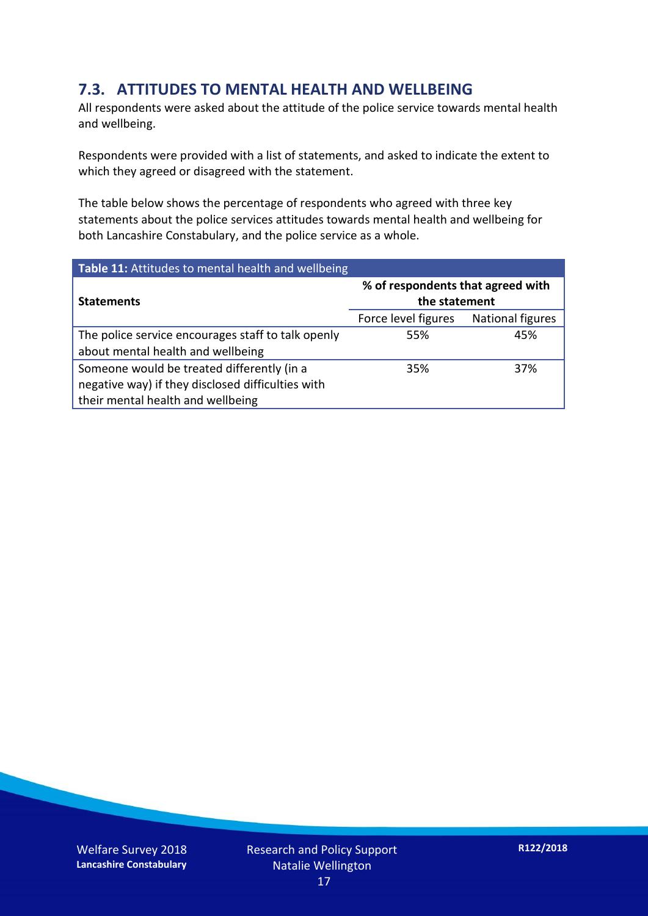### **7.3. ATTITUDES TO MENTAL HEALTH AND WELLBEING**

All respondents were asked about the attitude of the police service towards mental health and wellbeing.

Respondents were provided with a list of statements, and asked to indicate the extent to which they agreed or disagreed with the statement.

The table below shows the percentage of respondents who agreed with three key statements about the police services attitudes towards mental health and wellbeing for both Lancashire Constabulary, and the police service as a whole.

| Table 11: Attitudes to mental health and wellbeing |                                                    |                         |  |
|----------------------------------------------------|----------------------------------------------------|-------------------------|--|
| <b>Statements</b>                                  | % of respondents that agreed with<br>the statement |                         |  |
|                                                    | Force level figures                                | <b>National figures</b> |  |
| The police service encourages staff to talk openly | 55%                                                | 45%                     |  |
| about mental health and wellbeing                  |                                                    |                         |  |
| Someone would be treated differently (in a         | 35%                                                | 37%                     |  |
| negative way) if they disclosed difficulties with  |                                                    |                         |  |
| their mental health and wellbeing                  |                                                    |                         |  |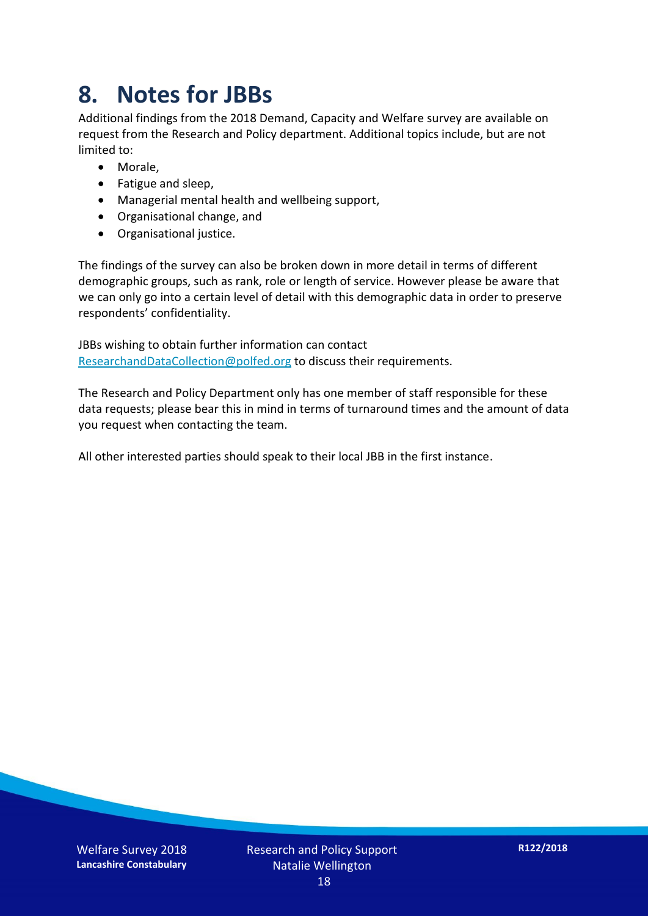## **8. Notes for JBBs**

Additional findings from the 2018 Demand, Capacity and Welfare survey are available on request from the Research and Policy department. Additional topics include, but are not limited to:

- Morale,
- Fatigue and sleep,
- Managerial mental health and wellbeing support,
- Organisational change, and
- Organisational justice.

The findings of the survey can also be broken down in more detail in terms of different demographic groups, such as rank, role or length of service. However please be aware that we can only go into a certain level of detail with this demographic data in order to preserve respondents' confidentiality.

JBBs wishing to obtain further information can contact [ResearchandDataCollection@polfed.org](mailto:ResearchandDataCollection@polfed.org) to discuss their requirements.

The Research and Policy Department only has one member of staff responsible for these data requests; please bear this in mind in terms of turnaround times and the amount of data you request when contacting the team.

All other interested parties should speak to their local JBB in the first instance.